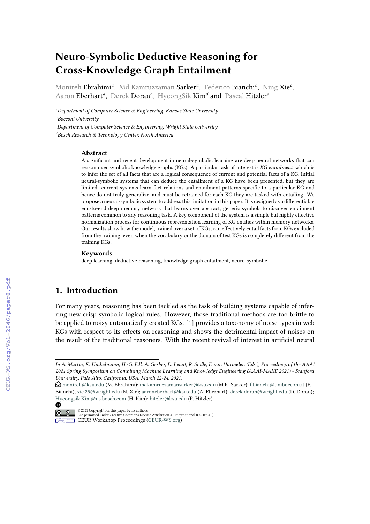# **Neuro-Symbolic Deductive Reasoning for Cross-Knowledge Graph Entailment**

Monireh Ebrahimi*<sup>a</sup>* , Md Kamruzzaman Sarker*<sup>a</sup>* , Federico Bianchi*<sup>b</sup>* , Ning Xie*<sup>c</sup>* , Aaron Eberhart*<sup>a</sup>* , Derek Doran*<sup>c</sup>* , HyeongSik Kim*<sup>d</sup>* and Pascal Hitzler*<sup>a</sup>*

*<sup>a</sup>Department of Computer Science & Engineering, Kansas State University <sup>b</sup>Bocconi University <sup>c</sup>Department of Computer Science & Engineering, Wright State University <sup>d</sup>Bosch Research & Technology Center, North America*

#### **Abstract**

A significant and recent development in neural-symbolic learning are deep neural networks that can reason over symbolic knowledge graphs (KGs). A particular task of interest is *KG entailment*, which is to infer the set of all facts that are a logical consequence of current and potential facts of a KG. Initial neural-symbolic systems that can deduce the entailment of a KG have been presented, but they are limited: current systems learn fact relations and entailment patterns specific to a particular KG and hence do not truly generalize, and must be retrained for each KG they are tasked with entailing. We propose a neural-symbolic system to address this limitation in this paper. It is designed as a differentiable end-to-end deep memory network that learns over abstract, generic symbols to discover entailment patterns common to any reasoning task. A key component of the system is a simple but highly effective normalization process for continuous representation learning of KG entities within memory networks. Our results show how the model, trained over a set of KGs, can effectively entail facts from KGs excluded from the training, even when the vocabulary or the domain of test KGs is completely different from the training KGs.

#### **Keywords**

deep learning, deductive reasoning, knowledge graph entailment, neuro-symbolic

### **1. Introduction**

For many years, reasoning has been tackled as the task of building systems capable of inferring new crisp symbolic logical rules. However, those traditional methods are too brittle to be applied to noisy automatically created KGs. [\[1\]](#page--1-0) provides a taxonomy of noise types in web KGs with respect to its effects on reasoning and shows the detrimental impact of noises on the result of the traditional reasoners. With the recent revival of interest in artificial neural

*In A. Martin, K. Hinkelmann, H.-G. Fill, A. Gerber, D. Lenat, R. Stolle, F. van Harmelen (Eds.), Proceedings of the AAAI 2021 Spring Symposium on Combining Machine Learning and Knowledge Engineering (AAAI-MAKE 2021) - Stanford University, Palo Alto, California, USA, March 22-24, 2021.*

 $\bigcirc$  [monireh@ksu.edu](mailto:monireh@ksu.edu) (M. Ebrahimi); [mdkamruzzamansarker@ksu.edu](mailto:mdkamruzzamansarker@ksu.edu) (M.K. Sarker); [f.bianchi@unibocconi.it](mailto:f.bianchi@unibocconi.it) (F. Bianchi); [xie.25@wright.edu](mailto:xie.25@wright.edu) (N. Xie); [aaroneberhart@ksu.edu](mailto:aaroneberhart@ksu.edu) (A. Eberhart); [derek.doran@wright.edu](mailto:derek.doran@wright.edu) (D. Doran); [Hyeongsik.Kim@us.bosch.com](mailto:Hyeongsik.Kim@us.bosch.com) (H. Kim); [hitzler@ksu.edu](mailto:hitzler@ksu.edu) (P. Hitzler)

<sup>◍</sup> © 2021 Copyright for this paper by its authors. Use permitted under Creative Commons License Attribution 4.0 International (CC BY 4.0).

**CEUR Workshop [Proceedings](http://ceur-ws.org) [\(CEUR-WS.org\)](http://ceur-ws.org)**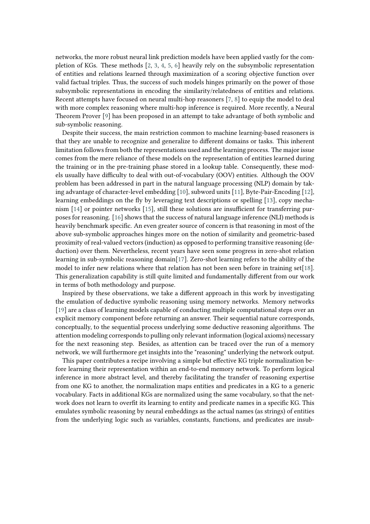networks, the more robust neural link prediction models have been applied vastly for the completion of KGs. These methods [\[2,](#page-10-0) [3,](#page-10-1) [4,](#page-10-2) [5,](#page-10-3) [6\]](#page-10-4) heavily rely on the subsymbolic representation of entities and relations learned through maximization of a scoring objective function over valid factual triples. Thus, the success of such models hinges primarily on the power of those subsymbolic representations in encoding the similarity/relatedness of entities and relations. Recent attempts have focused on neural multi-hop reasoners [\[7,](#page-10-5) [8\]](#page-10-6) to equip the model to deal with more complex reasoning where multi-hop inference is required. More recently, a Neural Theorem Prover [\[9\]](#page-10-7) has been proposed in an attempt to take advantage of both symbolic and sub-symbolic reasoning.

Despite their success, the main restriction common to machine learning-based reasoners is that they are unable to recognize and generalize to different domains or tasks. This inherent limitation follows from both the representations used and the learning process. The major issue comes from the mere reliance of these models on the representation of entities learned during the training or in the pre-training phase stored in a lookup table. Consequently, these models usually have difficulty to deal with out-of-vocabulary (OOV) entities. Although the OOV problem has been addressed in part in the natural language processing (NLP) domain by taking advantage of character-level embedding [\[10\]](#page-10-8), subword units [\[11\]](#page-10-9), Byte-Pair-Encoding [\[12\]](#page-10-10), learning embeddings on the fly by leveraging text descriptions or spelling [\[13\]](#page-11-0), copy mechanism [\[14\]](#page-11-1) or pointer networks [\[15\]](#page-11-2), still these solutions are insufficient for transferring purposes for reasoning. [\[16\]](#page-11-3) shows that the success of natural language inference (NLI) methods is heavily benchmark specific. An even greater source of concern is that reasoning in most of the above sub-symbolic approaches hinges more on the notion of similarity and geometric-based proximity of real-valued vectors (induction) as opposed to performing transitive reasoning (deduction) over them. Nevertheless, recent years have seen some progress in zero-shot relation learning in sub-symbolic reasoning domain[\[17\]](#page-11-4). Zero-shot learning refers to the ability of the model to infer new relations where that relation has not been seen before in training set[\[18\]](#page-11-5). This generalization capability is still quite limited and fundamentally different from our work in terms of both methodology and purpose.

Inspired by these observations, we take a different approach in this work by investigating the emulation of deductive symbolic reasoning using memory networks. Memory networks [\[19\]](#page-11-6) are a class of learning models capable of conducting multiple computational steps over an explicit memory component before returning an answer. Their sequential nature corresponds, conceptually, to the sequential process underlying some deductive reasoning algorithms. The attention modeling corresponds to pulling only relevant information (logical axioms) necessary for the next reasoning step. Besides, as attention can be traced over the run of a memory network, we will furthermore get insights into the "reasoning" underlying the network output.

This paper contributes a recipe involving a simple but effective KG triple normalization before learning their representation within an end-to-end memory network. To perform logical inference in more abstract level, and thereby facilitating the transfer of reasoning expertise from one KG to another, the normalization maps entities and predicates in a KG to a generic vocabulary. Facts in additional KGs are normalized using the same vocabulary, so that the network does not learn to overfit its learning to entity and predicate names in a specific KG. This emulates symbolic reasoning by neural embeddings as the actual names (as strings) of entities from the underlying logic such as variables, constants, functions, and predicates are insub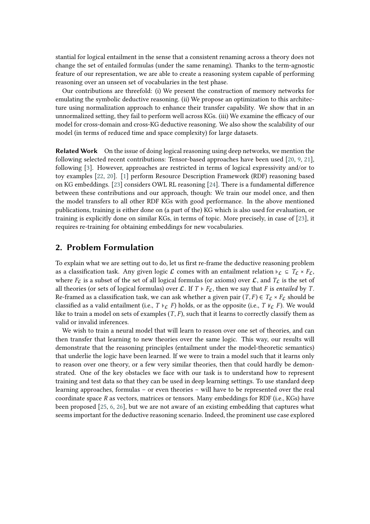stantial for logical entailment in the sense that a consistent renaming across a theory does not change the set of entailed formulas (under the same renaming). Thanks to the term-agnostic feature of our representation, we are able to create a reasoning system capable of performing reasoning over an unseen set of vocabularies in the test phase.

Our contributions are threefold: (i) We present the construction of memory networks for emulating the symbolic deductive reasoning. (ii) We propose an optimization to this architecture using normalization approach to enhance their transfer capability. We show that in an unnormalized setting, they fail to perform well across KGs. (iii) We examine the efficacy of our model for cross-domain and cross-KG deductive reasoning. We also show the scalability of our model (in terms of reduced time and space complexity) for large datasets.

**Related Work** On the issue of doing logical reasoning using deep networks, we mention the following selected recent contributions: Tensor-based approaches have been used [\[20,](#page-11-7) [9,](#page-10-7) [21\]](#page-11-8), following [\[3\]](#page-10-1). However, approaches are restricted in terms of logical expressivity and/or to toy examples [\[22,](#page-11-9) [20\]](#page-11-7). [\[1\]](#page-10-11) perform Resource Description Framework (RDF) reasoning based on KG embeddings. [\[23\]](#page-11-10) considers OWL RL reasoning [\[24\]](#page-11-11). There is a fundamental difference between these contributions and our approach, though: We train our model once, and then the model transfers to all other RDF KGs with good performance. In the above mentioned publications, training is either done on (a part of the) KG which is also used for evaluation, or training is explicitly done on similar KGs, in terms of topic. More precisely, in case of [\[23\]](#page-11-10), it requires re-training for obtaining embeddings for new vocabularies.

#### **2. Problem Formulation**

To explain what we are setting out to do, let us first re-frame the deductive reasoning problem as a classification task. Any given logic  $\mathcal L$  comes with an entailment relation  $\models \mathcal L \subseteq T_{\mathcal L} \times F_{\mathcal L}$ , where  $F_{\mathcal{L}}$  is a subset of the set of all logical formulas (or axioms) over  $\mathcal{L}$ , and  $T_{\mathcal{L}}$  is the set of all theories (or sets of logical formulas) over  $\mathcal{L}$ . If  $T \models F_{\mathcal{L}}$ , then we say that F is *entailed* by T. Re-framed as a classification task, we can ask whether a given pair  $(T, F) \in T_c \times F_c$  should be classified as a valid entailment (i.e.,  $T \models_{\mathcal{C}} F$ ) holds, or as the opposite (i.e.,  $T \not\models_{\mathcal{C}} F$ ). We would like to train a model on sets of examples  $(T, F)$ , such that it learns to correctly classify them as valid or invalid inferences.

We wish to train a neural model that will learn to reason over one set of theories, and can then transfer that learning to new theories over the same logic. This way, our results will demonstrate that the reasoning principles (entailment under the model-theoretic semantics) that underlie the logic have been learned. If we were to train a model such that it learns only to reason over one theory, or a few very similar theories, then that could hardly be demonstrated. One of the key obstacles we face with our task is to understand how to represent training and test data so that they can be used in deep learning settings. To use standard deep learning approaches, formulas – or even theories – will have to be represented over the real coordinate space  $R$  as vectors, matrices or tensors. Many embeddings for RDF (i.e., KGs) have been proposed [\[25,](#page-11-12) [6,](#page-10-4) [26\]](#page-11-13), but we are not aware of an existing embedding that captures what seems important for the deductive reasoning scenario. Indeed, the prominent use case explored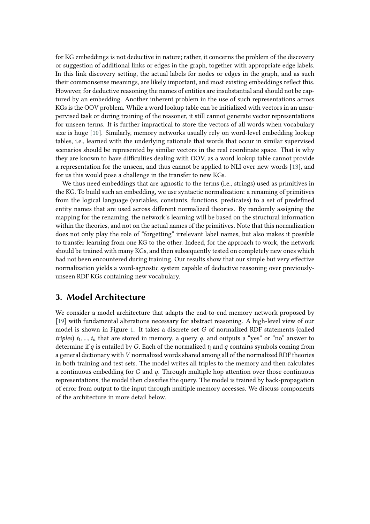for KG embeddings is not deductive in nature; rather, it concerns the problem of the discovery or suggestion of additional links or edges in the graph, together with appropriate edge labels. In this link discovery setting, the actual labels for nodes or edges in the graph, and as such their commonsense meanings, are likely important, and most existing embeddings reflect this. However, for deductive reasoning the names of entities are insubstantial and should not be captured by an embedding. Another inherent problem in the use of such representations across KGs is the OOV problem. While a word lookup table can be initialized with vectors in an unsupervised task or during training of the reasoner, it still cannot generate vector representations for unseen terms. It is further impractical to store the vectors of all words when vocabulary size is huge [\[10\]](#page-10-8). Similarly, memory networks usually rely on word-level embedding lookup tables, i.e., learned with the underlying rationale that words that occur in similar supervised scenarios should be represented by similar vectors in the real coordinate space. That is why they are known to have difficulties dealing with OOV, as a word lookup table cannot provide a representation for the unseen, and thus cannot be applied to NLI over new words [\[13\]](#page-11-0), and for us this would pose a challenge in the transfer to new KGs.

We thus need embeddings that are agnostic to the terms (i.e., strings) used as primitives in the KG. To build such an embedding, we use syntactic normalization: a renaming of primitives from the logical language (variables, constants, functions, predicates) to a set of predefined entity names that are used across different normalized theories. By randomly assigning the mapping for the renaming, the network's learning will be based on the structural information within the theories, and not on the actual names of the primitives. Note that this normalization does not only play the role of "forgetting" irrelevant label names, but also makes it possible to transfer learning from one KG to the other. Indeed, for the approach to work, the network should be trained with many KGs, and then subsequently tested on completely new ones which had not been encountered during training. Our results show that our simple but very effective normalization yields a word-agnostic system capable of deductive reasoning over previouslyunseen RDF KGs containing new vocabulary.

### **3. Model Architecture**

We consider a model architecture that adapts the end-to-end memory network proposed by [\[19\]](#page-11-6) with fundamental alterations necessary for abstract reasoning. A high-level view of our model is shown in Figure [1.](#page-4-0) It takes a discrete set  $G$  of normalized RDF statements (called *triples*)  $t_1, ..., t_n$  that are stored in memory, a query q, and outputs a "yes" or "no" answer to determine if  $q$  is entailed by G. Each of the normalized  $t_i$  and  $q$  contains symbols coming from a general dictionary with V normalized words shared among all of the normalized RDF theories in both training and test sets. The model writes all triples to the memory and then calculates a continuous embedding for  $G$  and  $q$ . Through multiple hop attention over those continuous representations, the model then classifies the query. The model is trained by back-propagation of error from output to the input through multiple memory accesses. We discuss components of the architecture in more detail below.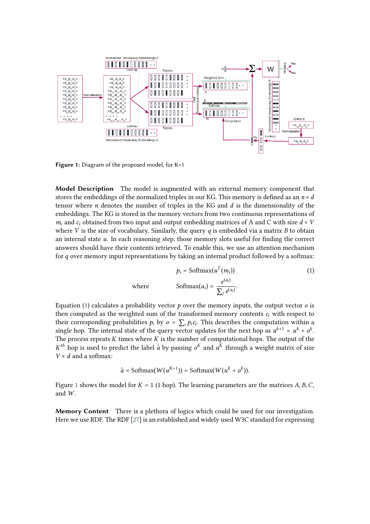

<span id="page-4-0"></span>Figure 1: Diagram of the proposed model, for K=1

**Model Description** The model is augmented with an external memory component that stores the embeddings of the normalized triples in our KG. This memory is defined as an  $n \times d$ tensor where  $n$  denotes the number of triples in the KG and  $d$  is the dimensionality of the embeddings. The KG is stored in the memory vectors from two continuous representations of  $m_i$  and  $c_i$  obtained from two input and output embedding matrices of A and C with size  $d \times V$ where  $V$  is the size of vocabulary. Similarly, the query  $q$  is embedded via a matrix  $B$  to obtain an internal state  $u$ . In each reasoning step, those memory slots useful for finding the correct answers should have their contents retrieved. To enable this, we use an attention mechanism for  $q$  over memory input representations by taking an internal product followed by a softmax:

<span id="page-4-1"></span>
$$
p_i = \text{Softmax}(u^T(m_i))
$$
\n
$$
\text{where} \quad \text{Softmax}(a_i) = \frac{e^{(a_i)}}{\sum_i e^{(a_j)}}.
$$
\n(1)

Equation [\(1\)](#page-4-1) calculates a probability vector  $p$  over the memory inputs, the output vector  $o$  is then computed as the weighted sum of the transformed memory contents  $c_i$  with respect to their corresponding probabilities  $p_i$  by  $o = \sum_i p_i c_i$ . This describes the computation within a single hop. The internal state of the query vector updates for the next hop as  $u^{k+1} = u^k + o^k$ . The process repeats  $K$  times where  $K$  is the number of computational hops. The output of the  $K^{th}$  hop is used to predict the label  $\hat{a}$  by passing  $o^{K}$  and  $u^{K}$  through a weight matrix of size  $V \times d$  and a softmax:

$$
\hat{a} = \text{Softmax}(W(u^{K+1})) = \text{Softmax}(W(u^k + o^k)).
$$

Figure [1](#page-4-0) shows the model for  $K = 1$  (1 hop). The learning parameters are the matrices A, B, C, and  $W$ .

**Memory Content** There is a plethora of logics which could be used for our investigation. Here we use RDF. The RDF [\[27\]](#page-11-14) is an established and widely used W3C standard for expressing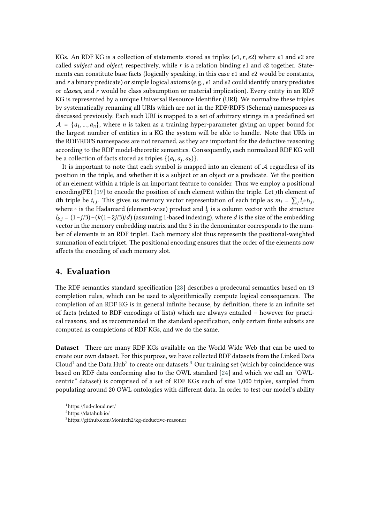KGs. An RDF KG is a collection of statements stored as triples (e1, r, e2) where e1 and e2 are called *subject* and *object*, respectively, while  $r$  is a relation binding  $e_1$  and  $e_2$  together. Statements can constitute base facts (logically speaking, in this case  $e_1$  and  $e_2$  would be constants, and  $r$  a binary predicate) or simple logical axioms (e.g.,  $e_1$  and  $e_2$  could identify unary prediates or *classes*, and r would be class subsumption or material implication). Every entity in an RDF KG is represented by a unique Universal Resource Identifier (URI). We normalize these triples by systematically renaming all URIs which are not in the RDF/RDFS (Schema) namespaces as discussed previously. Each such URI is mapped to a set of arbitrary strings in a predefined set  $\mathcal{A} = \{a_1, ..., a_n\}$ , where *n* is taken as a training hyper-parameter giving an upper bound for the largest number of entities in a KG the system will be able to handle. Note that URIs in the RDF/RDFS namespaces are not renamed, as they are important for the deductive reasoning according to the RDF model-theoretic semantics. Consequently, each normalized RDF KG will be a collection of facts stored as triples  $\{(a_i, a_j, a_k)\}.$ 

It is important to note that each symbol is mapped into an element of  $A$  regardless of its position in the triple, and whether it is a subject or an object or a predicate. Yet the position of an element within a triple is an important feature to consider. Thus we employ a positional encoding(PE) [\[19\]](#page-11-6) to encode the position of each element within the triple. Let *j*th element of *i*th triple be  $t_{i,j}$ . This gives us memory vector representation of each triple as  $m_i = \sum_i l_j \circ t_{i,j}$ , where  $\circ$  is the Hadamard (element-wise) product and  $l_j$  is a column vector with the structure  $l_{k,i} = (1-j/3) - (k(1-2j/3)/d)$  (assuming 1-based indexing), where d is the size of the embedding vector in the memory embedding matrix and the 3 in the denominator corresponds to the number of elements in an RDF triplet. Each memory slot thus represents the positional-weighted summation of each triplet. The positional encoding ensures that the order of the elements now affects the encoding of each memory slot.

#### **4. Evaluation**

The RDF semantics standard specification [\[28\]](#page-11-15) describes a prodecural semantics based on 13 completion rules, which can be used to algorithmically compute logical consequences. The completion of an RDF KG is in general infinite because, by definition, there is an infinite set of facts (related to RDF-encodings of lists) which are always entailed – however for practical reasons, and as recommended in the standard specification, only certain finite subsets are computed as completions of RDF KGs, and we do the same.

**Dataset** There are many RDF KGs available on the World Wide Web that can be used to create our own dataset. For this purpose, we have collected RDF datasets from the Linked Data Cloud<sup>[1](#page-5-0)</sup> and the Data Hub<sup>[2](#page-5-1)</sup> to create our datasets.<sup>[3](#page-5-2)</sup> Our training set (which by coincidence was based on RDF data conforming also to the OWL standard [\[24\]](#page-11-11) and which we call an "OWLcentric" dataset) is comprised of a set of RDF KGs each of size 1,000 triples, sampled from populating around 20 OWL ontologies with different data. In order to test our model's ability

<span id="page-5-0"></span><sup>1</sup>https://lod-cloud.net/

<span id="page-5-1"></span><sup>2</sup>https://datahub.io/

<span id="page-5-2"></span><sup>3</sup>https://github.com/Monireh2/kg-deductive-reasoner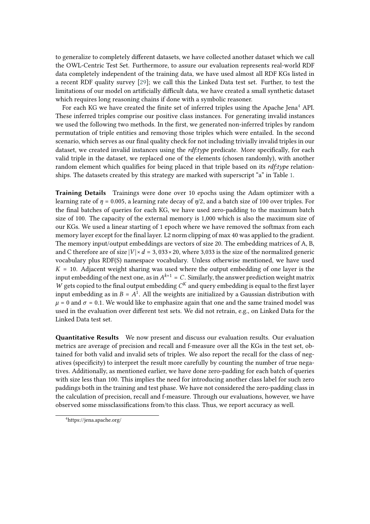to generalize to completely different datasets, we have collected another dataset which we call the OWL-Centric Test Set. Furthermore, to assure our evaluation represents real-world RDF data completely independent of the training data, we have used almost all RDF KGs listed in a recent RDF quality survey [\[29\]](#page-11-16); we call this the Linked Data test set. Further, to test the limitations of our model on artificially difficult data, we have created a small synthetic dataset which requires long reasoning chains if done with a symbolic reasoner.

For each KG we have created the finite set of inferred triples using the Apache Jena<sup>[4](#page-6-0)</sup> API. These inferred triples comprise our positive class instances. For generating invalid instances we used the following two methods. In the first, we generated non-inferred triples by random permutation of triple entities and removing those triples which were entailed. In the second scenario, which serves as our final quality check for not including trivially invalid triples in our dataset, we created invalid instances using the *rdf:type* predicate. More specifically, for each valid triple in the dataset, we replaced one of the elements (chosen randomly), with another random element which qualifies for being placed in that triple based on its *rdf:type* relationships. The datasets created by this strategy are marked with superscript "a" in Table [1.](#page-8-0)

**Training Details** Trainings were done over 10 epochs using the Adam optimizer with a learning rate of  $\eta = 0.005$ , a learning rate decay of  $\eta/2$ , and a batch size of 100 over triples. For the final batches of queries for each KG, we have used zero-padding to the maximum batch size of 100. The capacity of the external memory is 1,000 which is also the maximum size of our KGs. We used a linear starting of 1 epoch where we have removed the softmax from each memory layer except for the final layer. L2 norm clipping of max 40 was applied to the gradient. The memory input/output embeddings are vectors of size 20. The embedding matrices of A, B, and C therefore are of size  $|V| \times d = 3,033 \times 20$ , where 3,033 is the size of the normalized generic vocabulary plus RDF(S) namespace vocabulary. Unless otherwise mentioned, we have used  $K = 10$ . Adjacent weight sharing was used where the output embedding of one layer is the input embedding of the next one, as in  $A^{k+1} = C$ . Similarly, the answer prediction weight matrix  $\overrightarrow{W}$  gets copied to the final output embedding  $C^{K}$  and query embedding is equal to the first layer input embedding as in  $B = A^1$ . All the weights are initialized by a Gaussian distribution with  $\mu = 0$  and  $\sigma = 0.1$ . We would like to emphasize again that one and the same trained model was used in the evaluation over different test sets. We did not retrain, e.g., on Linked Data for the Linked Data test set.

**Quantitative Results** We now present and discuss our evaluation results. Our evaluation metrics are average of precision and recall and f-measure over all the KGs in the test set, obtained for both valid and invalid sets of triples. We also report the recall for the class of negatives (specificity) to interpret the result more carefully by counting the number of true negatives. Additionally, as mentioned earlier, we have done zero-padding for each batch of queries with size less than 100. This implies the need for introducing another class label for such zero paddings both in the training and test phase. We have not considered the zero-padding class in the calculation of precision, recall and f-measure. Through our evaluations, however, we have observed some missclassifications from/to this class. Thus, we report accuracy as well.

<span id="page-6-0"></span><sup>4</sup>https://jena.apache.org/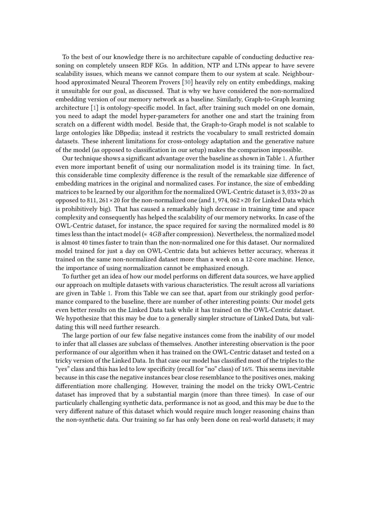To the best of our knowledge there is no architecture capable of conducting deductive reasoning on completely unseen RDF KGs. In addition, NTP and LTNs appear to have severe scalability issues, which means we cannot compare them to our system at scale. Neighbourhood approximated Neural Theorem Provers [\[30\]](#page-11-17) heavily rely on entity embeddings, making it unsuitable for our goal, as discussed. That is why we have considered the non-normalized embedding version of our memory network as a baseline. Similarly, Graph-to-Graph learning architecture [\[1\]](#page-10-11) is ontology-specific model. In fact, after training such model on one domain, you need to adapt the model hyper-parameters for another one and start the training from scratch on a different width model. Beside that, the Graph-to-Graph model is not scalable to large ontologies like DBpedia; instead it restricts the vocabulary to small restricted domain datasets. These inherent limitations for cross-ontology adaptation and the generative nature of the model (as opposed to classification in our setup) makes the comparison impossible.

Our technique shows a significant advantage over the baseline as shown in Table [1.](#page-8-0) A further even more important benefit of using our normalization model is its training time. In fact, this considerable time complexity difference is the result of the remarkable size difference of embedding matrices in the original and normalized cases. For instance, the size of embedding matrices to be learned by our algorithm for the normalized OWL-Centric dataset is 3, 033×20 as opposed to 811, 261 × 20 for the non-normalized one (and 1, 974, 062 × 20 for Linked Data which is prohibitively big). That has caused a remarkably high decrease in training time and space complexity and consequently has helped the scalability of our memory networks. In case of the OWL-Centric dataset, for instance, the space required for saving the normalized model is 80 times less than the intact model ( $\approx 4GB$  after compression). Nevertheless, the normalized model is almost 40 times faster to train than the non-normalized one for this dataset. Our normalized model trained for just a day on OWL-Centric data but achieves better accuracy, whereas it trained on the same non-normalized dataset more than a week on a 12-core machine. Hence, the importance of using normalization cannot be emphasized enough.

To further get an idea of how our model performs on different data sources, we have applied our approach on multiple datasets with various characteristics. The result across all variations are given in Table [1.](#page-8-0) From this Table we can see that, apart from our strikingly good performance compared to the baseline, there are number of other interesting points: Our model gets even better results on the Linked Data task while it has trained on the OWL-Centric dataset. We hypothesize that this may be due to a generally simpler structure of Linked Data, but validating this will need further research.

The large portion of our few false negative instances come from the inability of our model to infer that all classes are subclass of themselves. Another interesting observation is the poor performance of our algorithm when it has trained on the OWL-Centric dataset and tested on a tricky version of the Linked Data. In that case our model has classified most of the triples to the "yes" class and this has led to low specificity (recall for "no" class) of 16%. This seems inevitable because in this case the negative instances bear close resemblance to the positives ones, making differentiation more challenging. However, training the model on the tricky OWL-Centric dataset has improved that by a substantial margin (more than three times). In case of our particularly challenging synthetic data, performance is not as good, and this may be due to the very different nature of this dataset which would require much longer reasoning chains than the non-synthetic data. Our training so far has only been done on real-world datasets; it may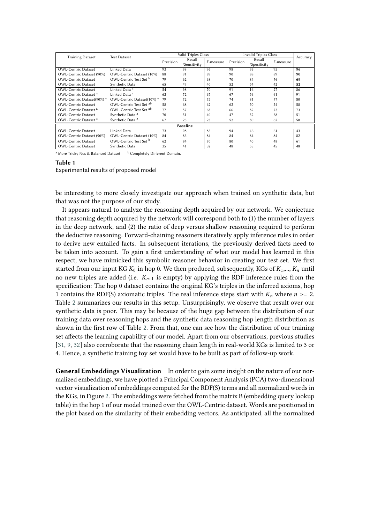| <b>Training Dataset</b>          | <b>Test Dataset</b>                   |                            | Valid Triples Class |           | <b>Invalid Triples Class</b> | Accuracy     |           |    |  |
|----------------------------------|---------------------------------------|----------------------------|---------------------|-----------|------------------------------|--------------|-----------|----|--|
|                                  |                                       | Precision                  | Recall              | F-measure | Precision                    | Recall       | F-measure |    |  |
|                                  |                                       |                            | /Sensitivity        |           |                              | /Specificity |           |    |  |
| <b>OWL-Centric Dataset</b>       | Linked Data                           | 93                         | 98                  | 96        | 98                           | 93           | 95        | 96 |  |
| OWL-Centric Dataset (90%)        | OWL-Centric Dataset (10%)             | 88                         | 91                  | 89        | 90                           | 88           | 89        | 90 |  |
| <b>OWL-Centric Dataset</b>       | OWL-Centric Test Set b                | 79                         | 62                  | 68        | 70                           | 84           | 76        | 69 |  |
| <b>OWL-Centric Dataset</b>       | Synthetic Data                        | 65                         | 49                  | 40        | 52                           | 54           | 42        | 52 |  |
| <b>OWL-Centric Dataset</b>       | Linked Data <sup>a</sup>              | 54                         | 98                  | 70        | 91                           | 16           | 27        | 86 |  |
| OWL-Centric Dataset <sup>a</sup> | Linked Data <sup>a</sup>              | 62                         | 72                  | 67        | 67                           | 56           | 61        | 91 |  |
| OWL-Centric Dataset(90%) a       | OWL-Centric Dataset(10%) <sup>a</sup> | 79                         | 72                  | 75        | 74                           | 81           | 77        | 80 |  |
| <b>OWL-Centric Dataset</b>       | OWL-Centric Test Set ab               | 58                         | 68                  | 62        | 62                           | 50           | 54        | 58 |  |
| OWL-Centric Dataset <sup>a</sup> | OWL-Centric Test Set ab               | 77                         | 57                  | 65        | 66                           | 82           | 73        | 73 |  |
| <b>OWL-Centric Dataset</b>       | Synthetic Data <sup>a</sup>           | 70                         | 51                  | 40        | 47                           | 52           | 38        | 51 |  |
| OWL-Centric Dataset <sup>a</sup> | Synthetic Data <sup>a</sup>           | 80<br>67<br>23<br>25<br>52 |                     |           |                              |              | 62        | 50 |  |
| <b>Baseline</b>                  |                                       |                            |                     |           |                              |              |           |    |  |
| <b>OWL-Centric Dataset</b>       | Linked Data                           | 73                         | 98                  | 83        | 94                           | 46           | 61        | 43 |  |
| OWL-Centric Dataset (90%)        | OWL-Centric Dataset (10%)             | 84                         | 83                  | 84        | 84                           | 84           | 84        | 82 |  |
| <b>OWL-Centric Dataset</b>       | OWL-Centric Test Set b                | 62                         | 84                  | 70        | 80                           | 40           | 48        | 61 |  |
| <b>OWL-Centric Dataset</b>       | Synthetic Data                        | 35                         | 41                  | 32        | 48                           | 55           | 45        | 48 |  |

<sup>a</sup> More Tricky Nos & Balanced Dataset b Completely Different Domain.

#### **Table 1**

<span id="page-8-0"></span>Experimental results of proposed model

be interesting to more closely investigate our approach when trained on synthetic data, but that was not the purpose of our study.

It appears natural to analyze the reasoning depth acquired by our network. We conjecture that reasoning depth acquired by the network will correspond both to (1) the number of layers in the deep network, and (2) the ratio of deep versus shallow reasoning required to perform the deductive reasoning. Forward-chaining reasoners iteratively apply inference rules in order to derive new entailed facts. In subsequent iterations, the previously derived facts need to be taken into account. To gain a first understanding of what our model has learned in this respect, we have mimicked this symbolic reasoner behavior in creating our test set. We first started from our input KG  $K_0$  in hop 0. We then produced, subsequently, KGs of  $K_1,..., K_n$  until no new triples are added (i.e.  $K_{n+1}$  is empty) by applying the RDF inference rules from the specification: The hop 0 dataset contains the original KG's triples in the inferred axioms, hop 1 contains the RDF(S) axiomatic triples. The real inference steps start with  $K_n$  where  $n \ge 2$ . Table [2](#page-9-0) summarizes our results in this setup. Unsurprisingly, we observe that result over our synthetic data is poor. This may be because of the huge gap between the distribution of our training data over reasoning hops and the synthetic data reasoning hop length distribution as shown in the first row of Table [2.](#page-9-0) From that, one can see how the distribution of our training set affects the learning capability of our model. Apart from our observations, previous studies [\[31,](#page-11-18) [9,](#page-10-7) [32\]](#page-11-19) also corroborate that the reasoning chain length in real-world KGs is limited to 3 or 4. Hence, a synthetic training toy set would have to be built as part of follow-up work.

**General Embeddings Visualization** In order to gain some insight on the nature of our normalized embeddings, we have plotted a Principal Component Analysis (PCA) two-dimensional vector visualization of embeddings computed for the RDF(S) terms and all normalized words in the KGs, in Figure [2.](#page-9-1) The embeddings were fetched from the matrix B (embedding query lookup table) in the hop 1 of our model trained over the OWL-Centric dataset. Words are positioned in the plot based on the similarity of their embedding vectors. As anticipated, all the normalized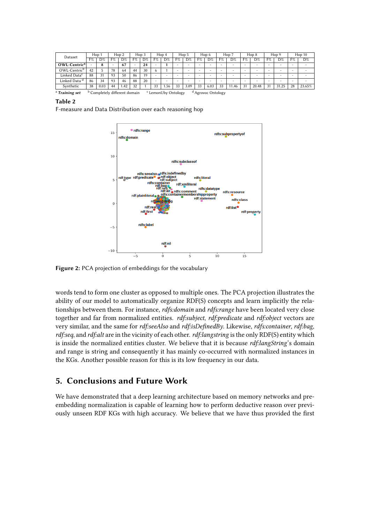| Dataset                   | Hop 1 |      | Hop 2 |                                          | Hop 3 |    | Hop 4                    |                                | Hop 5                    |      | Hop 6    |                               | Hop 7 |        | Hop 8 |                          | Hop 9 |       | Hop10                    |                          |
|---------------------------|-------|------|-------|------------------------------------------|-------|----|--------------------------|--------------------------------|--------------------------|------|----------|-------------------------------|-------|--------|-------|--------------------------|-------|-------|--------------------------|--------------------------|
|                           | F%    | D%   | F%    | D%                                       | F%    | D% | F%                       | D%                             | F%                       | D%   | F%       | D%                            | F%    | D%     | F%    | D%                       | F%    | D%    | F%                       | D%                       |
| OWL-Centric <sup>a</sup>  |       | 8    |       | 67                                       | ۰     | 24 | $\overline{\phantom{a}}$ |                                | $\overline{\phantom{a}}$ | ۰    | <b>1</b> |                               |       | $\sim$ | ۰     | $\overline{\phantom{0}}$ |       |       | $\overline{\phantom{0}}$ | $\overline{\phantom{a}}$ |
| OWL-Centric <sup>b</sup>  | 42    |      | 78    | 64                                       | 44    | 30 |                          |                                | $\overline{\phantom{a}}$ | ۰    |          |                               |       | $\sim$ |       | $\sim$                   |       |       | $\overline{\phantom{0}}$ | ۰                        |
| Linked Data <sup>c</sup>  | 88    | 31   | 93    | 50                                       | 86    | 19 |                          | $\overline{\phantom{a}}$       | $\overline{\phantom{a}}$ | ۰    |          |                               |       |        |       | $\overline{\phantom{0}}$ |       |       | $\overline{\phantom{0}}$ |                          |
| Linked Data <sup>d</sup>  | 86    | 34   | 93    | 46                                       | 88    | 20 | -                        | ۰                              | $\overline{\phantom{a}}$ | ۰    | -        |                               |       | -      |       | $\overline{\phantom{0}}$ | -     |       | $\overline{\phantom{0}}$ | ۰                        |
| Synthetic                 | 38    | 0.03 | 44    | 1.42                                     | 32    |    | 33                       | .56                            | 33                       | 3.09 | 33       | 6.03                          | 33    | 11.46  | 31    | 20.48                    | 31    | 31.25 | 28                       | 23.65%                   |
| <sup>a</sup> Training set |       |      |       | <sup>b</sup> Completely different domain |       |    |                          | <sup>c</sup> LemonUby Ontology |                          |      |          | <sup>d</sup> Agrovoc Ontology |       |        |       |                          |       |       |                          |                          |

| DТ<br>٠ |  |
|---------|--|
|---------|--|

<span id="page-9-0"></span>F-measure and Data Distribution over each reasoning hop



<span id="page-9-1"></span>**Figure 2:** PCA projection of embeddings for the vocabulary

words tend to form one cluster as opposed to multiple ones. The PCA projection illustrates the ability of our model to automatically organize RDF(S) concepts and learn implicitly the relationships between them. For instance, *rdfs:domain* and *rdfs:range* have been located very close together and far from normalized entities. *rdf:subject*, *rdf:predicate* and *rdf:object* vectors are very similar, and the same for *rdf:seeAlso* and *rdf:isDefinedBy*. Likewise, *rdfs:container*, *rdf:bag*, *rdf:seq*, and *rdf:alt* are in the vicinity of each other. *rdf:langstring* is the only RDF(S) entity which is inside the normalized entities cluster. We believe that it is because *rdf:langString*'s domain and range is string and consequently it has mainly co-occurred with normalized instances in the KGs. Another possible reason for this is its low frequency in our data.

## **5. Conclusions and Future Work**

We have demonstrated that a deep learning architecture based on memory networks and preembedding normalization is capable of learning how to perform deductive reason over previously unseen RDF KGs with high accuracy. We believe that we have thus provided the first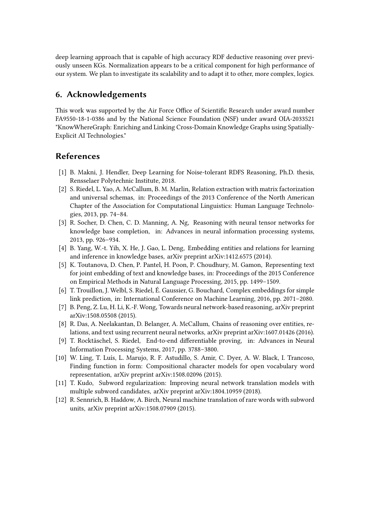deep learning approach that is capable of high accuracy RDF deductive reasoning over previously unseen KGs. Normalization appears to be a critical component for high performance of our system. We plan to investigate its scalability and to adapt it to other, more complex, logics.

### **6. Acknowledgements**

This work was supported by the Air Force Office of Scientific Research under award number FA9550-18-1-0386 and by the National Science Foundation (NSF) under award OIA-2033521 "KnowWhereGraph: Enriching and Linking Cross-Domain Knowledge Graphs using Spatially-Explicit AI Technologies."

#### **References**

- <span id="page-10-11"></span>[1] B. Makni, J. Hendler, Deep Learning for Noise-tolerant RDFS Reasoning, Ph.D. thesis, Rensselaer Polytechnic Institute, 2018.
- <span id="page-10-0"></span>[2] S. Riedel, L. Yao, A. McCallum, B. M. Marlin, Relation extraction with matrix factorization and universal schemas, in: Proceedings of the 2013 Conference of the North American Chapter of the Association for Computational Linguistics: Human Language Technologies, 2013, pp. 74–84.
- <span id="page-10-1"></span>[3] R. Socher, D. Chen, C. D. Manning, A. Ng, Reasoning with neural tensor networks for knowledge base completion, in: Advances in neural information processing systems, 2013, pp. 926–934.
- <span id="page-10-2"></span>[4] B. Yang, W.-t. Yih, X. He, J. Gao, L. Deng, Embedding entities and relations for learning and inference in knowledge bases, arXiv preprint arXiv:1412.6575 (2014).
- <span id="page-10-3"></span>[5] K. Toutanova, D. Chen, P. Pantel, H. Poon, P. Choudhury, M. Gamon, Representing text for joint embedding of text and knowledge bases, in: Proceedings of the 2015 Conference on Empirical Methods in Natural Language Processing, 2015, pp. 1499–1509.
- <span id="page-10-4"></span>[6] T. Trouillon, J. Welbl, S. Riedel, É. Gaussier, G. Bouchard, Complex embeddings for simple link prediction, in: International Conference on Machine Learning, 2016, pp. 2071–2080.
- <span id="page-10-5"></span>[7] B. Peng, Z. Lu, H. Li, K.-F. Wong, Towards neural network-based reasoning, arXiv preprint arXiv:1508.05508 (2015).
- <span id="page-10-6"></span>[8] R. Das, A. Neelakantan, D. Belanger, A. McCallum, Chains of reasoning over entities, relations, and text using recurrent neural networks, arXiv preprint arXiv:1607.01426 (2016).
- <span id="page-10-7"></span>[9] T. Rocktäschel, S. Riedel, End-to-end differentiable proving, in: Advances in Neural Information Processing Systems, 2017, pp. 3788–3800.
- <span id="page-10-8"></span>[10] W. Ling, T. Luís, L. Marujo, R. F. Astudillo, S. Amir, C. Dyer, A. W. Black, I. Trancoso, Finding function in form: Compositional character models for open vocabulary word representation, arXiv preprint arXiv:1508.02096 (2015).
- <span id="page-10-9"></span>[11] T. Kudo, Subword regularization: Improving neural network translation models with multiple subword candidates, arXiv preprint arXiv:1804.10959 (2018).
- <span id="page-10-10"></span>[12] R. Sennrich, B. Haddow, A. Birch, Neural machine translation of rare words with subword units, arXiv preprint arXiv:1508.07909 (2015).